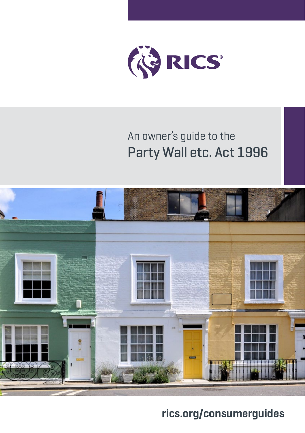

## An owner's guide to the Party Wall etc. Act 1996



### **[rics.org/consumerguides](http://rics.org/consumerguides)**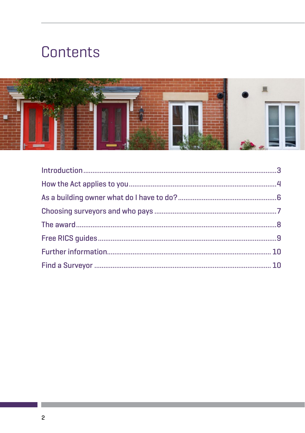# Contents

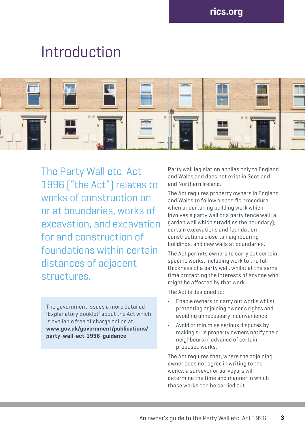# Introduction



The Party Wall etc. Act 1996 ("the Act") relates to works of construction on or at boundaries, works of excavation, and excavation for and construction of foundations within certain distances of adjacent structures.

The government issues a more detailed 'Explanatory Booklet' about the Act which is available free of charge online at: **www.gov.uk/government/publications/ party-wall-act-1996-guidance**

Party wall legislation applies only to England and Wales and does not exist in Scotland and Northern Ireland.

The Act requires property owners in England and Wales to follow a specific procedure when undertaking building work which involves a party wall or a party fence wall (a garden wall which straddles the boundary), certain excavations and foundation constructions close to neighbouring buildings, and new walls at boundaries.

The Act permits owners to carry out certain specific works, including work to the full thickness of a party wall, whilst at the same time protecting the interests of anyone who might be affected by that work.

The Act is designed to: -

- **•** Enable owners to carry out works whilst protecting adjoining owner's rights and avoiding unnecessary inconvenience
- **•** Avoid or minimise serious disputes by making sure property owners notify their neighbours in advance of certain proposed works.

The Act requires that, where the adjoining owner does not agree in writing to the works, a surveyor or surveyors will determine the time and manner in which those works can be carried out.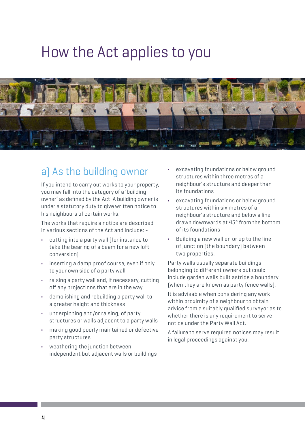# How the Act applies to you



## a) As the building owner

If you intend to carry out works to your property, you may fall into the category of a 'building owner' as defined by the Act. A building owner is under a statutory duty to give written notice to his neighbours of certain works.

The works that require a notice are described in various sections of the Act and include: -

- **•** cutting into a party wall (for instance to take the bearing of a beam for a new loft conversion)
- **•** inserting a damp proof course, even if only to your own side of a party wall
- **•** raising a party wall and, if necessary, cutting off any projections that are in the way
- **•** demolishing and rebuilding a party wall to a greater height and thickness
- **•** underpinning and/or raising, of party structures or walls adjacent to a party walls
- **•** making good poorly maintained or defective party structures
- **•** weathering the junction between independent but adjacent walls or buildings
- **•** excavating foundations or below ground structures within three metres of a neighbour's structure and deeper than its foundations
- **•** excavating foundations or below ground structures within six metres of a neighbour's structure and below a line drawn downwards at 45° from the bottom of its foundations
- **•** Building a new wall on or up to the line of junction (the boundary) between two properties.

Party walls usually separate buildings belonging to different owners but could include garden walls built astride a boundary (when they are known as party fence walls).

It is advisable when considering any work within proximity of a neighbour to obtain advice from a suitably qualified surveyor as to whether there is any requirement to serve notice under the Party Wall Act.

A failure to serve required notices may result in legal proceedings against you.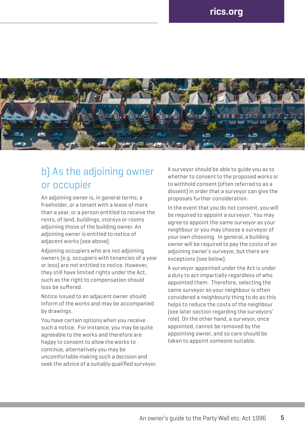

### b) As the adjoining owner or occupier

An adjoining owner is, in general terms, a freeholder, or a tenant with a lease of more than a year, or a person entitled to receive the rents, of land, buildings, storeys or rooms adjoining those of the building owner. An adjoining owner is entitled to notice of adjacent works (see above).

Adjoining occupiers who are not adjoining owners (e.g. occupiers with tenancies of a year or less) are not entitled to notice. However, they still have limited rights under the Act, such as the right to compensation should loss be suffered.

Notice issued to an adjacent owner should inform of the works and may be accompanied by drawings.

You have certain options when you receive such a notice. For instance, you may be quite agreeable to the works and therefore are happy to consent to allow the works to continue, alternatively you may be uncomfortable making such a decision and seek the advice of a suitably qualified surveyor. A surveyor should be able to guide you as to whether to consent to the proposed works or to withhold consent (often referred to as a dissent) in order that a surveyor can give the proposals further consideration.

In the event that you do not consent, you will be required to appoint a surveyor. You may agree to appoint the same surveyor as your neighbour or you may choose a surveyor of your own choosing. In general, a building owner will be required to pay the costs of an adjoining owner's surveyor, but there are exceptions (see below).

A surveyor appointed under the Act is under a duty to act impartially regardless of who appointed them. Therefore, selecting the same surveyor as your neighbour is often considered a neighbourly thing to do as this helps to reduce the costs of the neighbour (see later section regarding the surveyors' role). On the other hand, a surveyor, once appointed, cannot be removed by the appointing owner, and so care should be taken to appoint someone suitable.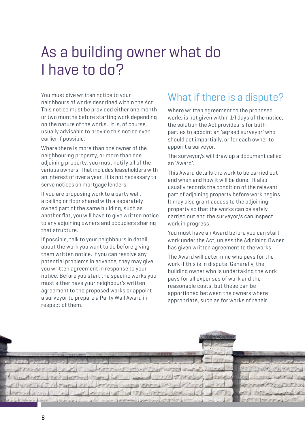# As a building owner what do I have to do?

You must give written notice to your neighbours of works described within the Act. This notice must be provided either one month or two months before starting work depending on the nature of the works. It is, of course, usually advisable to provide this notice even earlier if possible.

Where there is more than one owner of the neighbouring property, or more than one adjoining property, you must notify all of the various owners. That includes leaseholders with an interest of over a year. It is not necessary to serve notices on mortgage lenders.

If you are proposing work to a party wall, a ceiling or floor shared with a separately owned part of the same building, such as another flat, you will have to give written notice to any adjoining owners and occupiers sharing that structure.

If possible, talk to your neighbours in detail about the work you want to do before giving them written notice. If you can resolve any potential problems in advance, they may give you written agreement in response to your notice. Before you start the specific works you must either have your neighbour's written agreement to the proposed works or appoint a surveyor to prepare a Party Wall Award in respect of them.

### What if there is a dispute?

Where written agreement to the proposed works is not given within 14 days of the notice, the solution the Act provides is for both parties to appoint an 'agreed surveyor' who should act impartially, or for each owner to appoint a surveyor.

The surveyor/s will draw up a document called an 'Award'.

This Award details the work to be carried out and when and how it will be done. It also usually records the condition of the relevant part of adjoining property before work begins. It may also grant access to the adjoining property so that the works can be safely carried out and the surveyor/s can inspect work in progress.

You must have an Award before you can start work under the Act, unless the Adjoining Owner has given written agreement to the works.

The Award will determine who pays for the work if this is in dispute. Generally, the building owner who is undertaking the work pays for all expenses of work and the reasonable costs, but these can be apportioned between the owners where appropriate, such as for works of repair.

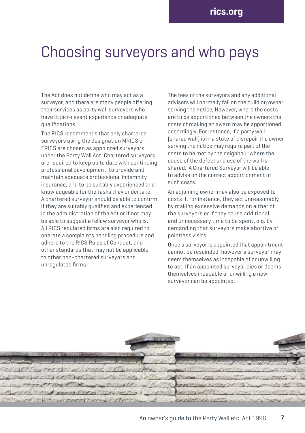## Choosing surveyors and who pays

The Act does not define who may act as a surveyor, and there are many neonle offering their services as party wall surveyors who have little relevant experience or adequate qualifications.

The RICS recommends that only chartered surveyors using the designation MRICS or FRICS are chosen as appointed surveyors under the Party Wall Act. Chartered surveyors are required to keep up to date with continuing professional development, to provide and maintain adequate professional indemnity insurance, and to be suitably experienced and knowledgeable for the tasks they undertake. A chartered surveyor should be able to confirm if they are suitably qualified and experienced in the administration of the Act or if not may be able to suggest a fellow surveyor who is. All RICS regulated firms are also required to operate a complaints handling procedure and adhere to the RICS Rules of Conduct, and other standards that may not be applicable to other non-chartered surveyors and unregulated firms.

The fees of the surveyors and any additional advisors will normally fall on the building owner serving the notice, However, where the costs are to be apportioned between the owners the costs of making an award may be apportioned accordingly. For instance, if a party wall (shared wall) is in a state of disrepair the owner serving the notice may require part of the costs to be met by the neighbour where the cause of the defect and use of the wall is shared. A Chartered Surveyor will be able to advise on the correct apportionment of such costs.

An adjoining owner may also be exposed to costs if, for instance, they act unreasonably by making excessive demands on either of the surveyors or if they cause additional and unnecessary time to be spent, e.g. by demanding that surveyors make abortive or pointless visits.

Once a surveyor is appointed that appointment cannot be rescinded, however a surveyor may deem themselves as incapable of or unwilling to act. If an appointed surveyor dies or deems themselves incapable or unwilling a new surveyor can be appointed.

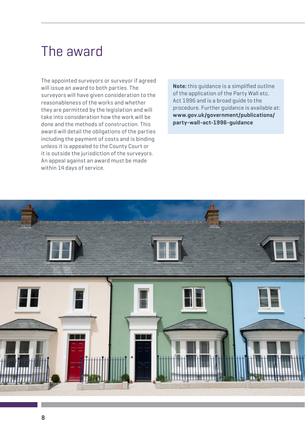## The award

The appointed surveyors or surveyor if agreed will issue an award to both parties. The surveyors will have given consideration to the reasonableness of the works and whether they are permitted by the legislation and will take into consideration how the work will be done and the methods of construction. This award will detail the obligations of the parties including the payment of costs and is binding unless it is appealed to the County Court or it is outside the jurisdiction of the surveyors. An appeal against an award must be made within 14 days of service.

**Note:** this guidance is a simplified outline of the application of the Party Wall etc. Act 1996 and is a broad guide to the procedure. Further guidance is available at: **www.gov.uk/government/publications/ party-wall-act-1996-guidance** 

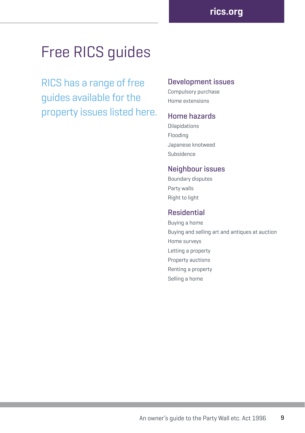# Free RICS guides

RICS has a range of free guides available for the property issues listed here.

#### Development issues

Compulsory purchase Home extensions

#### Home hazards

Dilapidations Flooding Japanese knotweed Subsidence

#### Neighbour issues

Boundary disputes Party walls Right to light

#### Residential

Buying a home Buying and selling art and antiques at auction Home surveys Letting a property Property auctions Renting a property Selling a home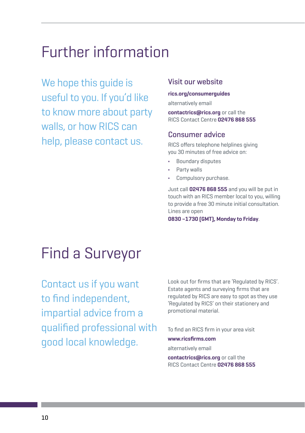## Further information

We hope this guide is useful to you. If you'd like to know more about party walls, or how RICS can help, please contact us.

#### Visit our website

#### **[rics.org/consumerguides](http://rics.org/consumerguides)**

alternatively email

**[contactrics@rics.org](mailto:contactrics%40rics.org?subject=)** or call the RICS Contact Centre **02476 868 555**

#### Consumer advice

RICS offers telephone helplines giving you 30 minutes of free advice on:

- **•** Boundary disputes
- **•** Party walls
- **•** Compulsory purchase.

Just call **02476 868 555** and you will be put in touch with an RICS member local to you, willing to provide a free 30 minute initial consultation. Lines are open

**0830 –1730 (GMT), Monday to Friday**.

# Find a Surveyor

Contact us if you want to find independent, impartial advice from a qualified professional with good local knowledge.

Look out for firms that are 'Regulated by RICS'. Estate agents and surveying firms that are regulated by RICS are easy to spot as they use 'Regulated by RICS' on their stationery and promotional material.

To find an RICS firm in your area visit **[www.ricsfirms.com](http://ricsfirms.com)** alternatively email

**[contactrics@rics.org](mailto:contactrics%40rics.org?subject=)** or call the RICS Contact Centre **02476 868 555**